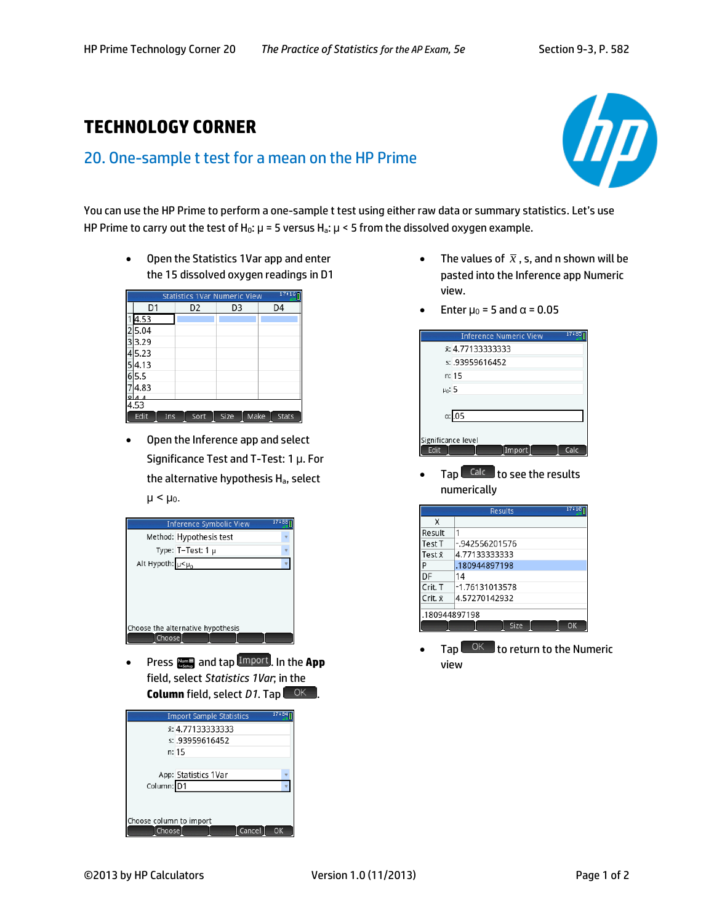## **TECHNOLOGY CORNER**

## 20. One-sample t test for a mean on the HP Prime



You can use the HP Prime to perform a one-sample t test using either raw data or summary statistics. Let's use HP Prime to carry out the test of H<sub>0</sub>:  $\mu$  = 5 versus H<sub>a</sub>:  $\mu$  < 5 from the dissolved oxygen example.

 Open the Statistics 1Var app and enter the 15 dissolved oxygen readings in D1

|    | 17:16<br><b>Statistics 1Var Numeric View</b> |                |      |                      |  |  |
|----|----------------------------------------------|----------------|------|----------------------|--|--|
|    | D1                                           | D <sub>2</sub> | D3   | D4                   |  |  |
|    | 4.53                                         |                |      |                      |  |  |
|    | 5.04                                         |                |      |                      |  |  |
|    | 3.29                                         |                |      |                      |  |  |
|    | 5.23                                         |                |      |                      |  |  |
|    | 4.13                                         |                |      |                      |  |  |
| ٠b | 15.5                                         |                |      |                      |  |  |
|    | 4.83                                         |                |      |                      |  |  |
|    |                                              |                |      |                      |  |  |
|    | 4.53                                         |                |      |                      |  |  |
|    | Edit<br>Ins                                  | Sort           | Size | Make<br><b>Stats</b> |  |  |

 Open the Inference app and select Significance Test and T-Test: 1 μ. For the alternative hypothesis H<sub>a</sub>, select  $\mu$  <  $\mu$ <sub>0</sub>.

|                         | <b>Inference Symbolic View</b> | 712 |
|-------------------------|--------------------------------|-----|
|                         | Method: Hypothesis test        |     |
|                         | Type: T-Test: 1 $\mu$          |     |
| Alt Hypoth: $\mu<\mu_0$ |                                |     |
|                         |                                |     |
|                         |                                |     |
|                         |                                |     |

**•** Press **Nume** and tap **Import**, in the **App** field, select *Statistics 1Var*; in the **Column** field, select *D1*. Tap  $\begin{bmatrix} OK \end{bmatrix}$ .

|                         | <b>Import Sample Statistics</b> | 17:34 |
|-------------------------|---------------------------------|-------|
|                         | x: 4.77133333333                |       |
|                         | s: .93959616452                 |       |
|                         | n: 15                           |       |
|                         |                                 |       |
|                         | App: Statistics 1Var            |       |
| Column: D1              |                                 |       |
|                         |                                 |       |
|                         |                                 |       |
| Choose column to import |                                 |       |
| Choose                  | Cancel                          | OK    |

- The values of  $\bar{x}$  , s, and n shown will be pasted into the Inference app Numeric view.
- Enter  $\mu_0$  = 5 and  $\alpha$  = 0.05

|            | 17:35<br><b>Inference Numeric View</b> |  |
|------------|----------------------------------------|--|
|            | x: 4.77133333333                       |  |
|            | s: .93959616452                        |  |
|            | n: 15                                  |  |
| $\mu_0: 5$ |                                        |  |
|            |                                        |  |
|            | $\alpha$ : 05                          |  |
|            |                                        |  |
|            | gnificance level                       |  |
| Edit       | Calc<br>Import                         |  |

 $Tap$   $\left[\frac{Calc}{1}$  to see the results numerically

| 17:10<br><b>Results</b> |                |  |  |  |
|-------------------------|----------------|--|--|--|
| X                       |                |  |  |  |
| Result                  |                |  |  |  |
| Test T                  | -.942556201576 |  |  |  |
| Test x                  | 4.77133333333  |  |  |  |
|                         | .180944897198  |  |  |  |
| DF                      | 14             |  |  |  |
| Crit. T                 | -1.76131013578 |  |  |  |
| Crit. x                 | 4.57270142932  |  |  |  |
| .180944897198           |                |  |  |  |
|                         | Size<br>∩ĸ     |  |  |  |

Tap  $\begin{array}{|c|c|c|}\n\hline\n\end{array}$  or return to the Numeric view